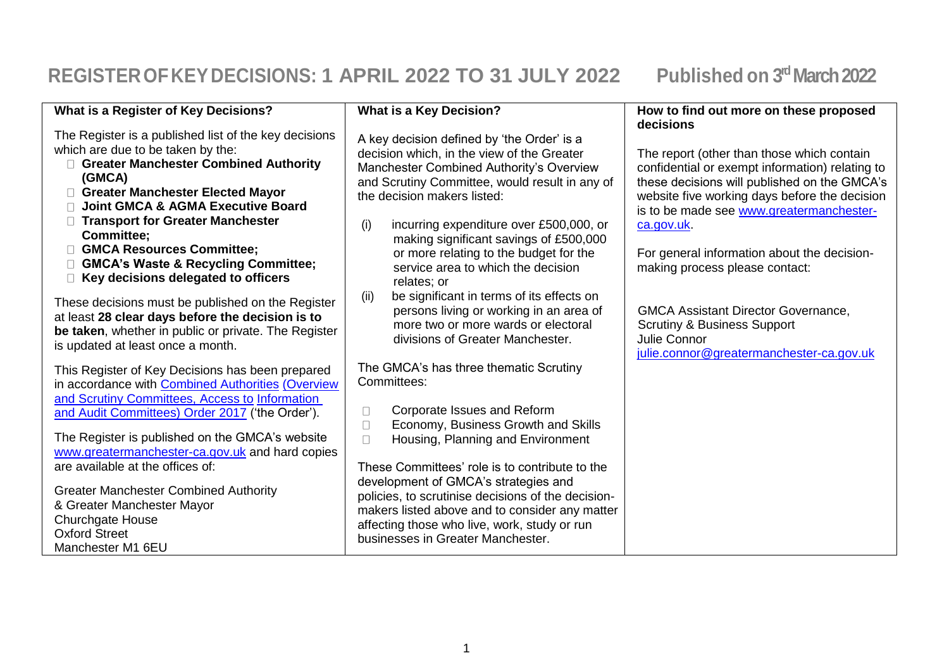## **REGISTEROFKEYDECISIONS: 1 APRIL 2022 TO 31 JULY 2022 Published on 3 rdMarch 2022**

| What is a Register of Key Decisions?                                                                                                                                                                                                                                                                                                                                                                                                  | What is a Key Decision?                                                                                                                                                                                                                                                                                                                                                                                          | How to find out more on these proposed<br>decisions                                                                                                                                                                                                                                                                                      |
|---------------------------------------------------------------------------------------------------------------------------------------------------------------------------------------------------------------------------------------------------------------------------------------------------------------------------------------------------------------------------------------------------------------------------------------|------------------------------------------------------------------------------------------------------------------------------------------------------------------------------------------------------------------------------------------------------------------------------------------------------------------------------------------------------------------------------------------------------------------|------------------------------------------------------------------------------------------------------------------------------------------------------------------------------------------------------------------------------------------------------------------------------------------------------------------------------------------|
| The Register is a published list of the key decisions<br>which are due to be taken by the:<br>Greater Manchester Combined Authority<br>(GMCA)<br><b>Greater Manchester Elected Mayor</b><br><b>Joint GMCA &amp; AGMA Executive Board</b><br><b>Transport for Greater Manchester</b><br><b>Committee;</b><br><b>GMCA Resources Committee;</b><br><b>GMCA's Waste &amp; Recycling Committee;</b><br>Key decisions delegated to officers | A key decision defined by 'the Order' is a<br>decision which, in the view of the Greater<br>Manchester Combined Authority's Overview<br>and Scrutiny Committee, would result in any of<br>the decision makers listed:<br>incurring expenditure over £500,000, or<br>(i)<br>making significant savings of £500,000<br>or more relating to the budget for the<br>service area to which the decision<br>relates; or | The report (other than those which contain<br>confidential or exempt information) relating to<br>these decisions will published on the GMCA's<br>website five working days before the decision<br>is to be made see www.greatermanchester-<br>ca.gov.uk<br>For general information about the decision-<br>making process please contact: |
| These decisions must be published on the Register<br>at least 28 clear days before the decision is to<br>be taken, whether in public or private. The Register<br>is updated at least once a month.                                                                                                                                                                                                                                    | be significant in terms of its effects on<br>(ii)<br>persons living or working in an area of<br>more two or more wards or electoral<br>divisions of Greater Manchester.                                                                                                                                                                                                                                          | <b>GMCA Assistant Director Governance,</b><br><b>Scrutiny &amp; Business Support</b><br>Julie Connor<br>julie.connor@greatermanchester-ca.gov.uk                                                                                                                                                                                         |
| This Register of Key Decisions has been prepared<br>in accordance with Combined Authorities (Overview<br>and Scrutiny Committees, Access to Information                                                                                                                                                                                                                                                                               | The GMCA's has three thematic Scrutiny<br>Committees:                                                                                                                                                                                                                                                                                                                                                            |                                                                                                                                                                                                                                                                                                                                          |
| and Audit Committees) Order 2017 ('the Order').<br>The Register is published on the GMCA's website<br>www.greatermanchester-ca.gov.uk and hard copies<br>are available at the offices of:                                                                                                                                                                                                                                             | Corporate Issues and Reform<br>u<br>Economy, Business Growth and Skills<br>$\Box$<br>Housing, Planning and Environment<br>$\Box$<br>These Committees' role is to contribute to the                                                                                                                                                                                                                               |                                                                                                                                                                                                                                                                                                                                          |
| <b>Greater Manchester Combined Authority</b><br>& Greater Manchester Mayor<br><b>Churchgate House</b><br><b>Oxford Street</b><br>Manchester M1 6EU                                                                                                                                                                                                                                                                                    | development of GMCA's strategies and<br>policies, to scrutinise decisions of the decision-<br>makers listed above and to consider any matter<br>affecting those who live, work, study or run<br>businesses in Greater Manchester.                                                                                                                                                                                |                                                                                                                                                                                                                                                                                                                                          |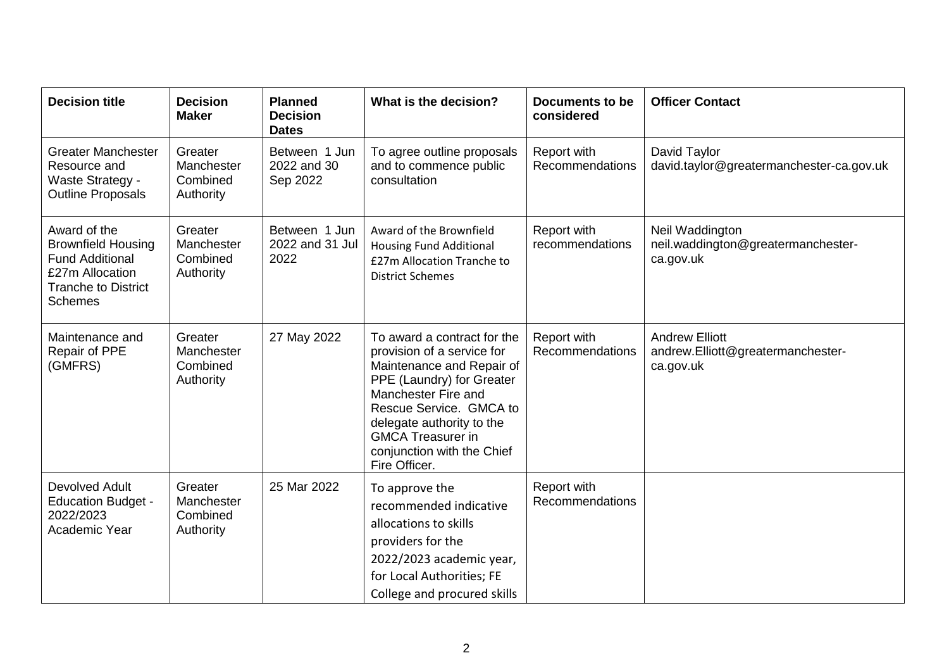| <b>Decision title</b>                                                                                                                  | <b>Decision</b><br><b>Maker</b>                | <b>Planned</b><br><b>Decision</b><br><b>Dates</b> | What is the decision?                                                                                                                                                                                                                                                         | <b>Documents to be</b><br>considered | <b>Officer Contact</b>                                                  |
|----------------------------------------------------------------------------------------------------------------------------------------|------------------------------------------------|---------------------------------------------------|-------------------------------------------------------------------------------------------------------------------------------------------------------------------------------------------------------------------------------------------------------------------------------|--------------------------------------|-------------------------------------------------------------------------|
| <b>Greater Manchester</b><br>Resource and<br>Waste Strategy -<br><b>Outline Proposals</b>                                              | Greater<br>Manchester<br>Combined<br>Authority | Between 1 Jun<br>2022 and 30<br>Sep 2022          | To agree outline proposals<br>and to commence public<br>consultation                                                                                                                                                                                                          | Report with<br>Recommendations       | David Taylor<br>david.taylor@greatermanchester-ca.gov.uk                |
| Award of the<br><b>Brownfield Housing</b><br><b>Fund Additional</b><br>£27m Allocation<br><b>Tranche to District</b><br><b>Schemes</b> | Greater<br>Manchester<br>Combined<br>Authority | Between 1 Jun<br>2022 and 31 Jul<br>2022          | Award of the Brownfield<br><b>Housing Fund Additional</b><br>£27m Allocation Tranche to<br><b>District Schemes</b>                                                                                                                                                            | Report with<br>recommendations       | Neil Waddington<br>neil.waddington@greatermanchester-<br>ca.gov.uk      |
| Maintenance and<br>Repair of PPE<br>(GMFRS)                                                                                            | Greater<br>Manchester<br>Combined<br>Authority | 27 May 2022                                       | To award a contract for the<br>provision of a service for<br>Maintenance and Repair of<br>PPE (Laundry) for Greater<br>Manchester Fire and<br>Rescue Service. GMCA to<br>delegate authority to the<br><b>GMCA Treasurer in</b><br>conjunction with the Chief<br>Fire Officer. | Report with<br>Recommendations       | <b>Andrew Elliott</b><br>andrew.Elliott@greatermanchester-<br>ca.gov.uk |
| <b>Devolved Adult</b><br><b>Education Budget -</b><br>2022/2023<br>Academic Year                                                       | Greater<br>Manchester<br>Combined<br>Authority | 25 Mar 2022                                       | To approve the<br>recommended indicative<br>allocations to skills<br>providers for the<br>2022/2023 academic year,<br>for Local Authorities; FE<br>College and procured skills                                                                                                | Report with<br>Recommendations       |                                                                         |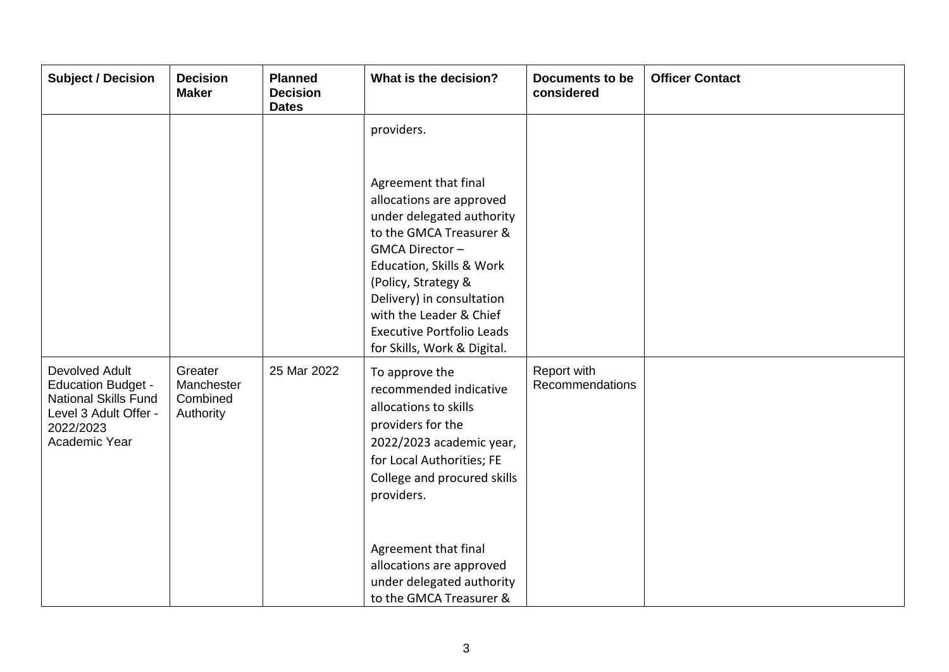| <b>Subject / Decision</b>                                                                                                                | <b>Decision</b><br><b>Maker</b>                | <b>Planned</b><br><b>Decision</b><br><b>Dates</b> | What is the decision?                                                                                                                                                                                                                                                                                                  | <b>Documents to be</b><br>considered | <b>Officer Contact</b> |
|------------------------------------------------------------------------------------------------------------------------------------------|------------------------------------------------|---------------------------------------------------|------------------------------------------------------------------------------------------------------------------------------------------------------------------------------------------------------------------------------------------------------------------------------------------------------------------------|--------------------------------------|------------------------|
|                                                                                                                                          |                                                |                                                   | providers.<br>Agreement that final<br>allocations are approved<br>under delegated authority<br>to the GMCA Treasurer &<br>GMCA Director-<br>Education, Skills & Work<br>(Policy, Strategy &<br>Delivery) in consultation<br>with the Leader & Chief<br><b>Executive Portfolio Leads</b><br>for Skills, Work & Digital. |                                      |                        |
| <b>Devolved Adult</b><br><b>Education Budget -</b><br><b>National Skills Fund</b><br>Level 3 Adult Offer -<br>2022/2023<br>Academic Year | Greater<br>Manchester<br>Combined<br>Authority | 25 Mar 2022                                       | To approve the<br>recommended indicative<br>allocations to skills<br>providers for the<br>2022/2023 academic year,<br>for Local Authorities; FE<br>College and procured skills<br>providers.<br>Agreement that final<br>allocations are approved<br>under delegated authority<br>to the GMCA Treasurer &               | Report with<br>Recommendations       |                        |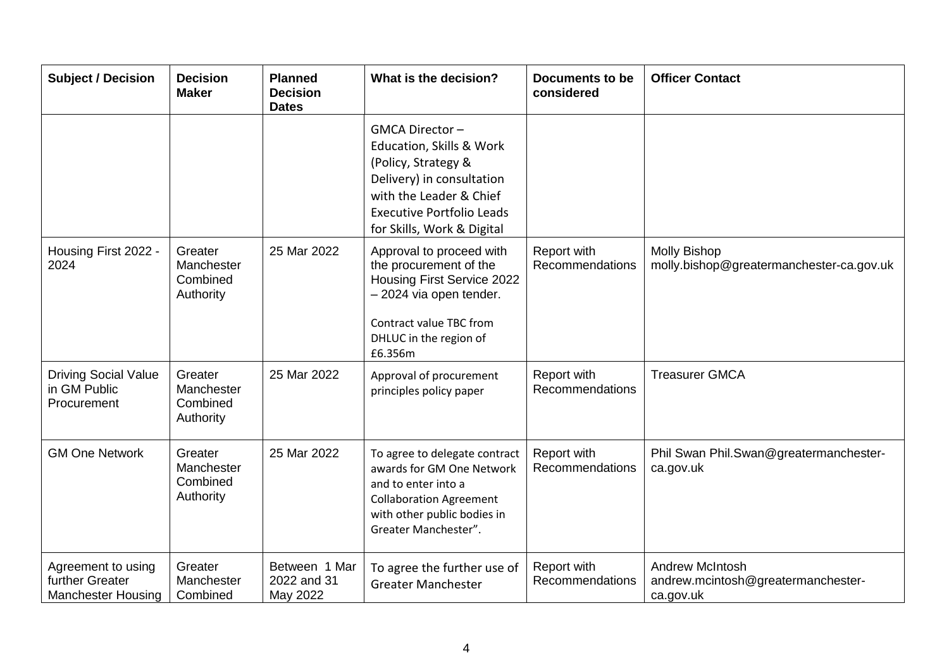| <b>Subject / Decision</b>                                          | <b>Decision</b><br><b>Maker</b>                | <b>Planned</b><br><b>Decision</b><br><b>Dates</b> | What is the decision?                                                                                                                                                                       | Documents to be<br>considered  | <b>Officer Contact</b>                                                    |
|--------------------------------------------------------------------|------------------------------------------------|---------------------------------------------------|---------------------------------------------------------------------------------------------------------------------------------------------------------------------------------------------|--------------------------------|---------------------------------------------------------------------------|
|                                                                    |                                                |                                                   | GMCA Director-<br>Education, Skills & Work<br>(Policy, Strategy &<br>Delivery) in consultation<br>with the Leader & Chief<br><b>Executive Portfolio Leads</b><br>for Skills, Work & Digital |                                |                                                                           |
| Housing First 2022 -<br>2024                                       | Greater<br>Manchester<br>Combined<br>Authority | 25 Mar 2022                                       | Approval to proceed with<br>the procurement of the<br>Housing First Service 2022<br>- 2024 via open tender.<br>Contract value TBC from<br>DHLUC in the region of<br>£6.356m                 | Report with<br>Recommendations | <b>Molly Bishop</b><br>molly.bishop@greatermanchester-ca.gov.uk           |
| <b>Driving Social Value</b><br>in GM Public<br>Procurement         | Greater<br>Manchester<br>Combined<br>Authority | 25 Mar 2022                                       | Approval of procurement<br>principles policy paper                                                                                                                                          | Report with<br>Recommendations | <b>Treasurer GMCA</b>                                                     |
| <b>GM One Network</b>                                              | Greater<br>Manchester<br>Combined<br>Authority | 25 Mar 2022                                       | To agree to delegate contract<br>awards for GM One Network<br>and to enter into a<br><b>Collaboration Agreement</b><br>with other public bodies in<br>Greater Manchester".                  | Report with<br>Recommendations | Phil Swan Phil.Swan@greatermanchester-<br>ca.gov.uk                       |
| Agreement to using<br>further Greater<br><b>Manchester Housing</b> | Greater<br>Manchester<br>Combined              | Between 1 Mar<br>2022 and 31<br>May 2022          | To agree the further use of<br><b>Greater Manchester</b>                                                                                                                                    | Report with<br>Recommendations | <b>Andrew McIntosh</b><br>andrew.mcintosh@greatermanchester-<br>ca.gov.uk |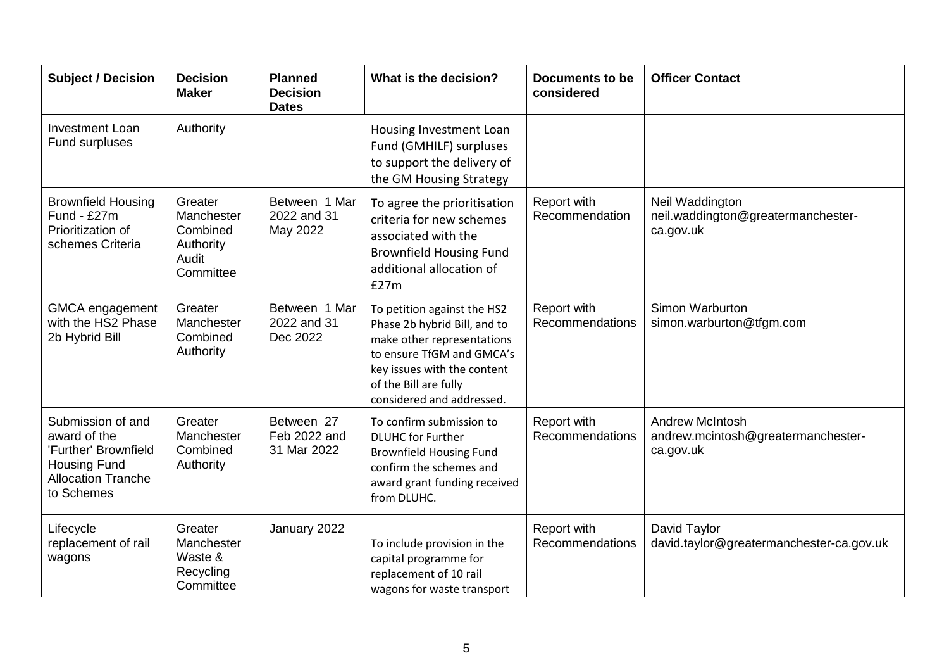| <b>Subject / Decision</b>                                                                                                   | <b>Decision</b><br><b>Maker</b>                                      | <b>Planned</b><br><b>Decision</b><br><b>Dates</b> | What is the decision?                                                                                                                                                                                       | <b>Documents to be</b><br>considered | <b>Officer Contact</b>                                                    |
|-----------------------------------------------------------------------------------------------------------------------------|----------------------------------------------------------------------|---------------------------------------------------|-------------------------------------------------------------------------------------------------------------------------------------------------------------------------------------------------------------|--------------------------------------|---------------------------------------------------------------------------|
| <b>Investment Loan</b><br>Fund surpluses                                                                                    | Authority                                                            |                                                   | Housing Investment Loan<br>Fund (GMHILF) surpluses<br>to support the delivery of<br>the GM Housing Strategy                                                                                                 |                                      |                                                                           |
| <b>Brownfield Housing</b><br>Fund - £27m<br>Prioritization of<br>schemes Criteria                                           | Greater<br>Manchester<br>Combined<br>Authority<br>Audit<br>Committee | Between 1 Mar<br>2022 and 31<br>May 2022          | To agree the prioritisation<br>criteria for new schemes<br>associated with the<br><b>Brownfield Housing Fund</b><br>additional allocation of<br>£27m                                                        | Report with<br>Recommendation        | Neil Waddington<br>neil.waddington@greatermanchester-<br>ca.gov.uk        |
| GMCA engagement<br>with the HS2 Phase<br>2b Hybrid Bill                                                                     | Greater<br>Manchester<br>Combined<br>Authority                       | Between 1 Mar<br>2022 and 31<br>Dec 2022          | To petition against the HS2<br>Phase 2b hybrid Bill, and to<br>make other representations<br>to ensure TfGM and GMCA's<br>key issues with the content<br>of the Bill are fully<br>considered and addressed. | Report with<br>Recommendations       | Simon Warburton<br>simon.warburton@tfgm.com                               |
| Submission of and<br>award of the<br>'Further' Brownfield<br><b>Housing Fund</b><br><b>Allocation Tranche</b><br>to Schemes | Greater<br>Manchester<br>Combined<br>Authority                       | Between 27<br>Feb 2022 and<br>31 Mar 2022         | To confirm submission to<br><b>DLUHC</b> for Further<br><b>Brownfield Housing Fund</b><br>confirm the schemes and<br>award grant funding received<br>from DLUHC.                                            | Report with<br>Recommendations       | <b>Andrew McIntosh</b><br>andrew.mcintosh@greatermanchester-<br>ca.gov.uk |
| Lifecycle<br>replacement of rail<br>wagons                                                                                  | Greater<br>Manchester<br>Waste &<br>Recycling<br>Committee           | January 2022                                      | To include provision in the<br>capital programme for<br>replacement of 10 rail<br>wagons for waste transport                                                                                                | Report with<br>Recommendations       | David Taylor<br>david.taylor@greatermanchester-ca.gov.uk                  |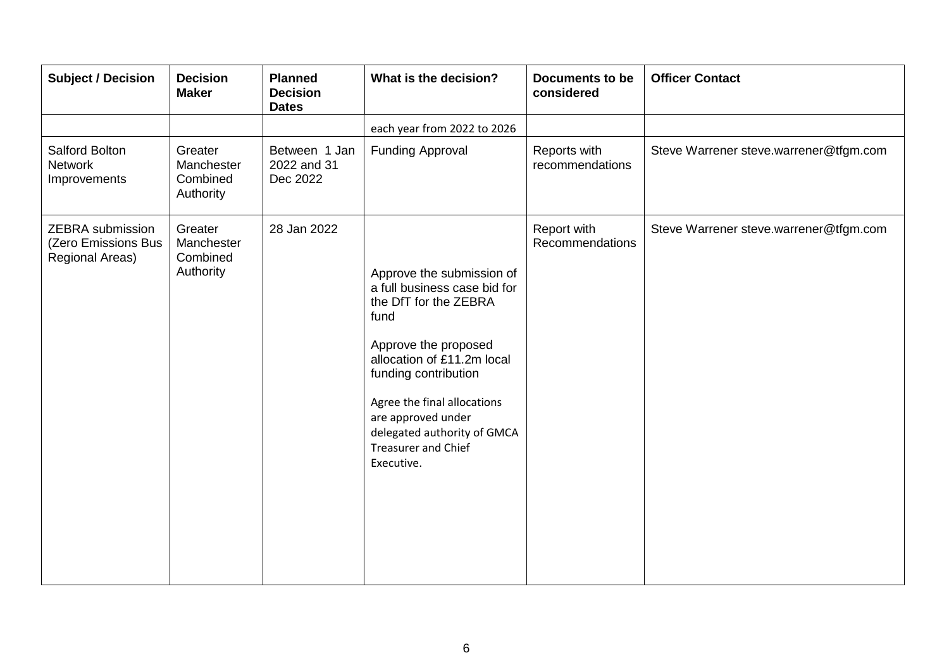| <b>Subject / Decision</b>                                         | <b>Decision</b><br><b>Maker</b>                | <b>Planned</b><br><b>Decision</b><br><b>Dates</b> | What is the decision?                                                                                                                                                                                                                                                                                    | <b>Documents to be</b><br>considered | <b>Officer Contact</b>                 |
|-------------------------------------------------------------------|------------------------------------------------|---------------------------------------------------|----------------------------------------------------------------------------------------------------------------------------------------------------------------------------------------------------------------------------------------------------------------------------------------------------------|--------------------------------------|----------------------------------------|
|                                                                   |                                                |                                                   | each year from 2022 to 2026                                                                                                                                                                                                                                                                              |                                      |                                        |
| Salford Bolton<br><b>Network</b><br>Improvements                  | Greater<br>Manchester<br>Combined<br>Authority | Between 1 Jan<br>2022 and 31<br>Dec 2022          | <b>Funding Approval</b>                                                                                                                                                                                                                                                                                  | Reports with<br>recommendations      | Steve Warrener steve.warrener@tfgm.com |
| <b>ZEBRA</b> submission<br>(Zero Emissions Bus<br>Regional Areas) | Greater<br>Manchester<br>Combined<br>Authority | 28 Jan 2022                                       | Approve the submission of<br>a full business case bid for<br>the DfT for the ZEBRA<br>fund<br>Approve the proposed<br>allocation of £11.2m local<br>funding contribution<br>Agree the final allocations<br>are approved under<br>delegated authority of GMCA<br><b>Treasurer and Chief</b><br>Executive. | Report with<br>Recommendations       | Steve Warrener steve.warrener@tfgm.com |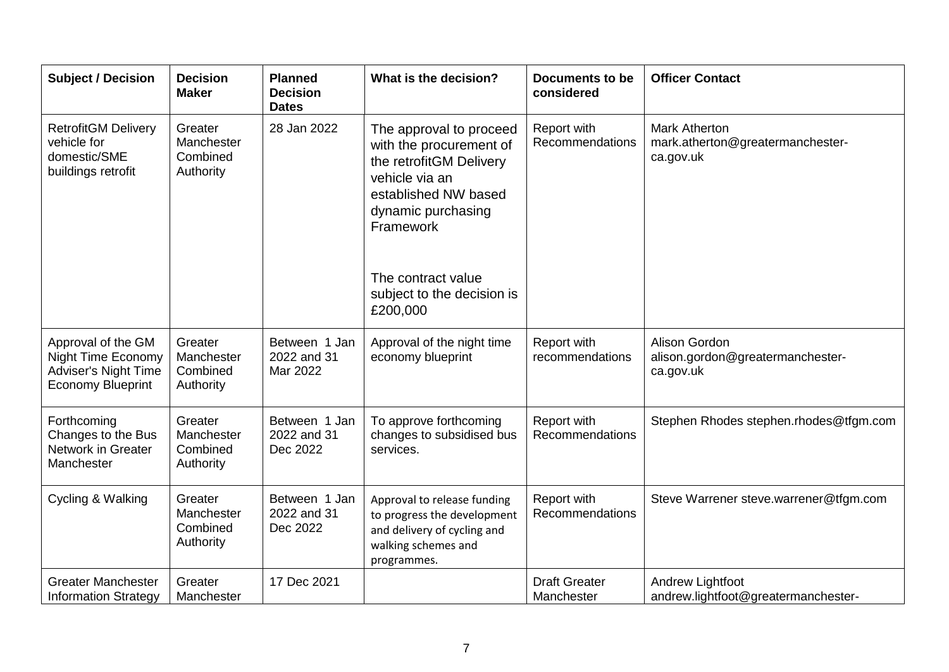| <b>Subject / Decision</b>                                                                                  | <b>Decision</b><br><b>Maker</b>                | <b>Planned</b><br><b>Decision</b><br><b>Dates</b> | What is the decision?                                                                                                                                                                                                      | <b>Documents to be</b><br>considered | <b>Officer Contact</b>                                                |
|------------------------------------------------------------------------------------------------------------|------------------------------------------------|---------------------------------------------------|----------------------------------------------------------------------------------------------------------------------------------------------------------------------------------------------------------------------------|--------------------------------------|-----------------------------------------------------------------------|
| <b>RetrofitGM Delivery</b><br>vehicle for<br>domestic/SME<br>buildings retrofit                            | Greater<br>Manchester<br>Combined<br>Authority | 28 Jan 2022                                       | The approval to proceed<br>with the procurement of<br>the retrofitGM Delivery<br>vehicle via an<br>established NW based<br>dynamic purchasing<br>Framework<br>The contract value<br>subject to the decision is<br>£200,000 | Report with<br>Recommendations       | <b>Mark Atherton</b><br>mark.atherton@greatermanchester-<br>ca.gov.uk |
| Approval of the GM<br><b>Night Time Economy</b><br><b>Adviser's Night Time</b><br><b>Economy Blueprint</b> | Greater<br>Manchester<br>Combined<br>Authority | Between 1 Jan<br>2022 and 31<br>Mar 2022          | Approval of the night time<br>economy blueprint                                                                                                                                                                            | Report with<br>recommendations       | Alison Gordon<br>alison.gordon@greatermanchester-<br>ca.gov.uk        |
| Forthcoming<br>Changes to the Bus<br>Network in Greater<br>Manchester                                      | Greater<br>Manchester<br>Combined<br>Authority | Between 1 Jan<br>2022 and 31<br>Dec 2022          | To approve forthcoming<br>changes to subsidised bus<br>services.                                                                                                                                                           | Report with<br>Recommendations       | Stephen Rhodes stephen.rhodes@tfgm.com                                |
| Cycling & Walking                                                                                          | Greater<br>Manchester<br>Combined<br>Authority | Between 1 Jan<br>2022 and 31<br>Dec 2022          | Approval to release funding<br>to progress the development<br>and delivery of cycling and<br>walking schemes and<br>programmes.                                                                                            | Report with<br>Recommendations       | Steve Warrener steve.warrener@tfgm.com                                |
| <b>Greater Manchester</b><br><b>Information Strategy</b>                                                   | Greater<br>Manchester                          | 17 Dec 2021                                       |                                                                                                                                                                                                                            | <b>Draft Greater</b><br>Manchester   | Andrew Lightfoot<br>andrew.lightfoot@greatermanchester-               |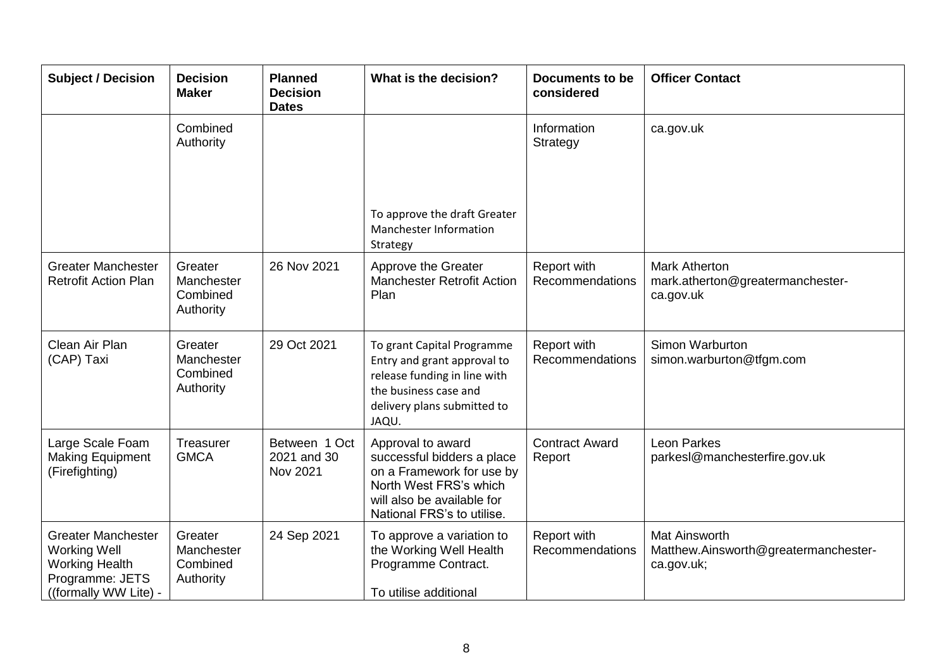| <b>Subject / Decision</b>                                                                                             | <b>Decision</b><br><b>Maker</b>                | <b>Planned</b><br><b>Decision</b><br><b>Dates</b> | What is the decision?                                                                                                                                              | <b>Documents to be</b><br>considered | <b>Officer Contact</b>                                                     |
|-----------------------------------------------------------------------------------------------------------------------|------------------------------------------------|---------------------------------------------------|--------------------------------------------------------------------------------------------------------------------------------------------------------------------|--------------------------------------|----------------------------------------------------------------------------|
|                                                                                                                       | Combined<br>Authority                          |                                                   |                                                                                                                                                                    | Information<br>Strategy              | ca.gov.uk                                                                  |
|                                                                                                                       |                                                |                                                   | To approve the draft Greater<br>Manchester Information<br>Strategy                                                                                                 |                                      |                                                                            |
| <b>Greater Manchester</b><br><b>Retrofit Action Plan</b>                                                              | Greater<br>Manchester<br>Combined<br>Authority | 26 Nov 2021                                       | Approve the Greater<br><b>Manchester Retrofit Action</b><br>Plan                                                                                                   | Report with<br>Recommendations       | <b>Mark Atherton</b><br>mark.atherton@greatermanchester-<br>ca.gov.uk      |
| Clean Air Plan<br>(CAP) Taxi                                                                                          | Greater<br>Manchester<br>Combined<br>Authority | 29 Oct 2021                                       | To grant Capital Programme<br>Entry and grant approval to<br>release funding in line with<br>the business case and<br>delivery plans submitted to<br>JAQU.         | Report with<br>Recommendations       | Simon Warburton<br>simon.warburton@tfgm.com                                |
| Large Scale Foam<br><b>Making Equipment</b><br>(Firefighting)                                                         | Treasurer<br><b>GMCA</b>                       | Between 1 Oct<br>2021 and 30<br>Nov 2021          | Approval to award<br>successful bidders a place<br>on a Framework for use by<br>North West FRS's which<br>will also be available for<br>National FRS's to utilise. | <b>Contract Award</b><br>Report      | Leon Parkes<br>parkesl@manchesterfire.gov.uk                               |
| <b>Greater Manchester</b><br><b>Working Well</b><br><b>Working Health</b><br>Programme: JETS<br>((formally WW Lite) - | Greater<br>Manchester<br>Combined<br>Authority | 24 Sep 2021                                       | To approve a variation to<br>the Working Well Health<br>Programme Contract.<br>To utilise additional                                                               | Report with<br>Recommendations       | <b>Mat Ainsworth</b><br>Matthew.Ainsworth@greatermanchester-<br>ca.gov.uk; |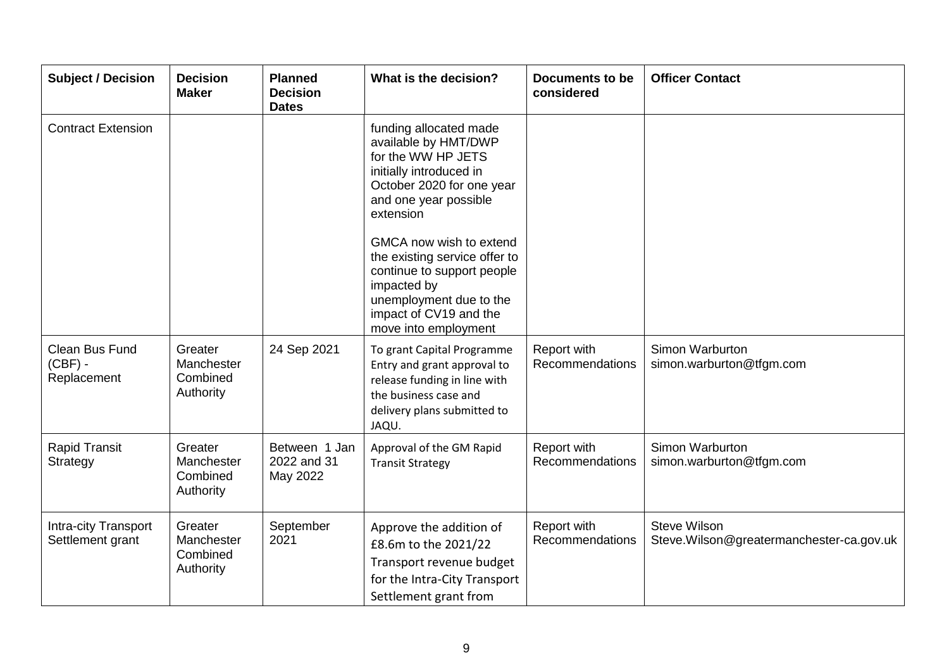| <b>Subject / Decision</b>                | <b>Decision</b><br><b>Maker</b>                | <b>Planned</b><br><b>Decision</b><br><b>Dates</b> | What is the decision?                                                                                                                                                                                                          | <b>Documents to be</b><br>considered | <b>Officer Contact</b>                                          |
|------------------------------------------|------------------------------------------------|---------------------------------------------------|--------------------------------------------------------------------------------------------------------------------------------------------------------------------------------------------------------------------------------|--------------------------------------|-----------------------------------------------------------------|
| <b>Contract Extension</b>                |                                                |                                                   | funding allocated made<br>available by HMT/DWP<br>for the WW HP JETS<br>initially introduced in<br>October 2020 for one year<br>and one year possible<br>extension<br>GMCA now wish to extend<br>the existing service offer to |                                      |                                                                 |
|                                          |                                                |                                                   | continue to support people<br>impacted by<br>unemployment due to the<br>impact of CV19 and the<br>move into employment                                                                                                         |                                      |                                                                 |
| Clean Bus Fund<br>(CBF) -<br>Replacement | Greater<br>Manchester<br>Combined<br>Authority | 24 Sep 2021                                       | To grant Capital Programme<br>Entry and grant approval to<br>release funding in line with<br>the business case and<br>delivery plans submitted to<br>JAQU.                                                                     | Report with<br>Recommendations       | Simon Warburton<br>simon.warburton@tfgm.com                     |
| <b>Rapid Transit</b><br>Strategy         | Greater<br>Manchester<br>Combined<br>Authority | Between 1 Jan<br>2022 and 31<br>May 2022          | Approval of the GM Rapid<br><b>Transit Strategy</b>                                                                                                                                                                            | Report with<br>Recommendations       | Simon Warburton<br>simon.warburton@tfgm.com                     |
| Intra-city Transport<br>Settlement grant | Greater<br>Manchester<br>Combined<br>Authority | September<br>2021                                 | Approve the addition of<br>£8.6m to the 2021/22<br>Transport revenue budget<br>for the Intra-City Transport<br>Settlement grant from                                                                                           | Report with<br>Recommendations       | <b>Steve Wilson</b><br>Steve.Wilson@greatermanchester-ca.gov.uk |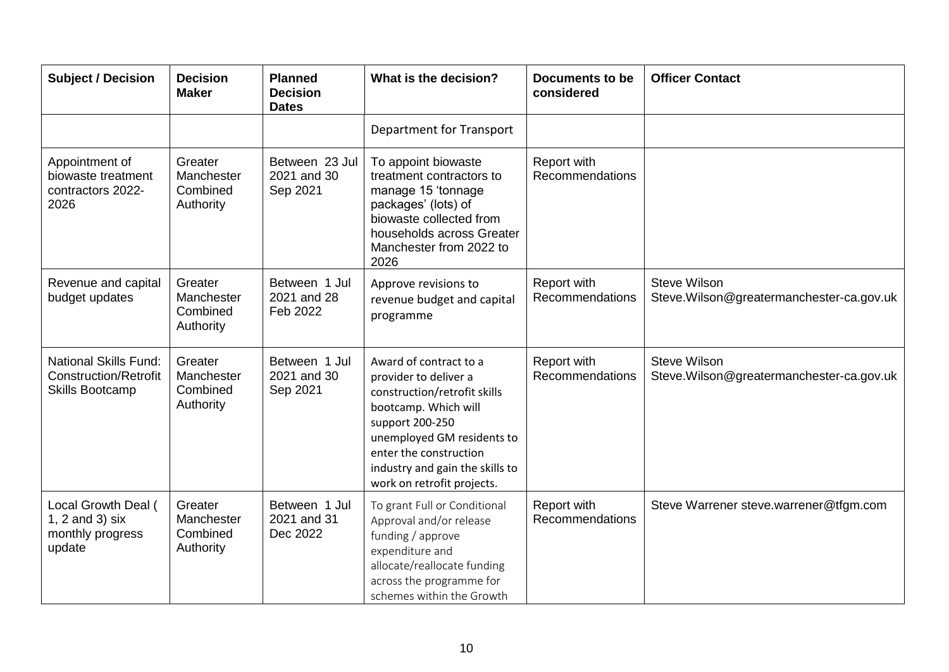| <b>Subject / Decision</b>                                                              | <b>Decision</b><br><b>Maker</b>                | <b>Planned</b><br><b>Decision</b><br><b>Dates</b> | What is the decision?                                                                                                                                                                                                                               | <b>Documents to be</b><br>considered | <b>Officer Contact</b>                                          |
|----------------------------------------------------------------------------------------|------------------------------------------------|---------------------------------------------------|-----------------------------------------------------------------------------------------------------------------------------------------------------------------------------------------------------------------------------------------------------|--------------------------------------|-----------------------------------------------------------------|
|                                                                                        |                                                |                                                   | <b>Department for Transport</b>                                                                                                                                                                                                                     |                                      |                                                                 |
| Appointment of<br>biowaste treatment<br>contractors 2022-<br>2026                      | Greater<br>Manchester<br>Combined<br>Authority | Between 23 Jul<br>2021 and 30<br>Sep 2021         | To appoint biowaste<br>treatment contractors to<br>manage 15 'tonnage<br>packages' (lots) of<br>biowaste collected from<br>households across Greater<br>Manchester from 2022 to<br>2026                                                             | Report with<br>Recommendations       |                                                                 |
| Revenue and capital<br>budget updates                                                  | Greater<br>Manchester<br>Combined<br>Authority | Between 1 Jul<br>2021 and 28<br>Feb 2022          | Approve revisions to<br>revenue budget and capital<br>programme                                                                                                                                                                                     | Report with<br>Recommendations       | <b>Steve Wilson</b><br>Steve.Wilson@greatermanchester-ca.gov.uk |
| <b>National Skills Fund:</b><br><b>Construction/Retrofit</b><br><b>Skills Bootcamp</b> | Greater<br>Manchester<br>Combined<br>Authority | Between 1 Jul<br>2021 and 30<br>Sep 2021          | Award of contract to a<br>provider to deliver a<br>construction/retrofit skills<br>bootcamp. Which will<br>support 200-250<br>unemployed GM residents to<br>enter the construction<br>industry and gain the skills to<br>work on retrofit projects. | Report with<br>Recommendations       | <b>Steve Wilson</b><br>Steve.Wilson@greatermanchester-ca.gov.uk |
| Local Growth Deal (<br>1, $2$ and $3)$ six<br>monthly progress<br>update               | Greater<br>Manchester<br>Combined<br>Authority | Between 1 Jul<br>2021 and 31<br>Dec 2022          | To grant Full or Conditional<br>Approval and/or release<br>funding / approve<br>expenditure and<br>allocate/reallocate funding<br>across the programme for<br>schemes within the Growth                                                             | Report with<br>Recommendations       | Steve Warrener steve.warrener@tfgm.com                          |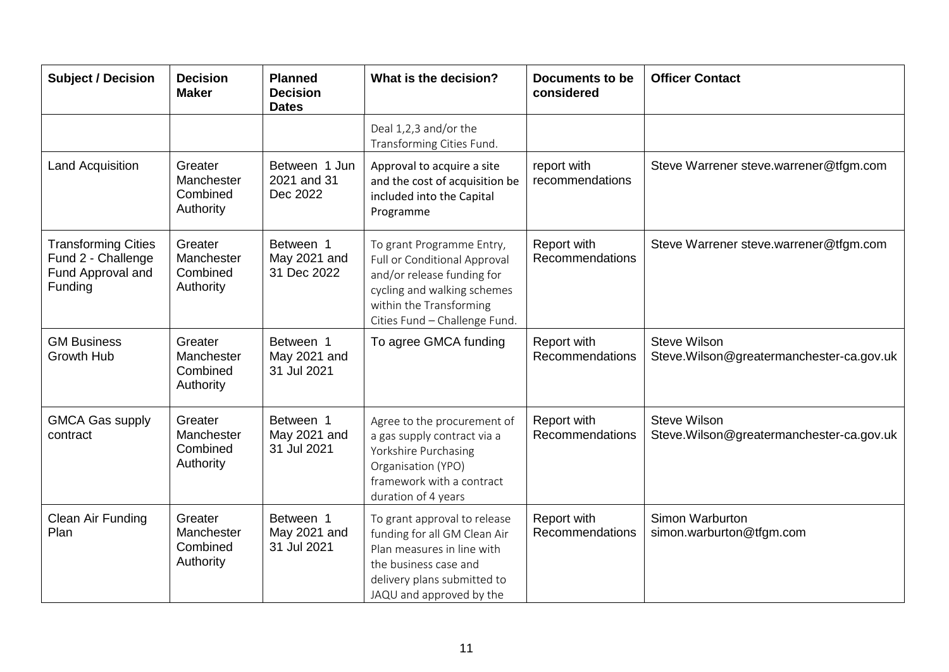| <b>Subject / Decision</b>                                                        | <b>Decision</b><br><b>Maker</b>                | <b>Planned</b><br><b>Decision</b><br><b>Dates</b> | What is the decision?                                                                                                                                                              | <b>Documents to be</b><br>considered | <b>Officer Contact</b>                                           |
|----------------------------------------------------------------------------------|------------------------------------------------|---------------------------------------------------|------------------------------------------------------------------------------------------------------------------------------------------------------------------------------------|--------------------------------------|------------------------------------------------------------------|
|                                                                                  |                                                |                                                   | Deal 1,2,3 and/or the<br>Transforming Cities Fund.                                                                                                                                 |                                      |                                                                  |
| <b>Land Acquisition</b>                                                          | Greater<br>Manchester<br>Combined<br>Authority | Between 1 Jun<br>2021 and 31<br>Dec 2022          | Approval to acquire a site<br>and the cost of acquisition be<br>included into the Capital<br>Programme                                                                             | report with<br>recommendations       | Steve Warrener steve.warrener@tfgm.com                           |
| <b>Transforming Cities</b><br>Fund 2 - Challenge<br>Fund Approval and<br>Funding | Greater<br>Manchester<br>Combined<br>Authority | Between 1<br>May 2021 and<br>31 Dec 2022          | To grant Programme Entry,<br>Full or Conditional Approval<br>and/or release funding for<br>cycling and walking schemes<br>within the Transforming<br>Cities Fund - Challenge Fund. | Report with<br>Recommendations       | Steve Warrener steve.warrener@tfgm.com                           |
| <b>GM Business</b><br><b>Growth Hub</b>                                          | Greater<br>Manchester<br>Combined<br>Authority | Between 1<br>May 2021 and<br>31 Jul 2021          | To agree GMCA funding                                                                                                                                                              | Report with<br>Recommendations       | <b>Steve Wilson</b><br>Steve. Wilson@greatermanchester-ca.gov.uk |
| <b>GMCA Gas supply</b><br>contract                                               | Greater<br>Manchester<br>Combined<br>Authority | Between 1<br>May 2021 and<br>31 Jul 2021          | Agree to the procurement of<br>a gas supply contract via a<br>Yorkshire Purchasing<br>Organisation (YPO)<br>framework with a contract<br>duration of 4 years                       | Report with<br>Recommendations       | <b>Steve Wilson</b><br>Steve. Wilson@greatermanchester-ca.gov.uk |
| Clean Air Funding<br>Plan                                                        | Greater<br>Manchester<br>Combined<br>Authority | Between 1<br>May 2021 and<br>31 Jul 2021          | To grant approval to release<br>funding for all GM Clean Air<br>Plan measures in line with<br>the business case and<br>delivery plans submitted to<br>JAQU and approved by the     | Report with<br>Recommendations       | Simon Warburton<br>simon.warburton@tfgm.com                      |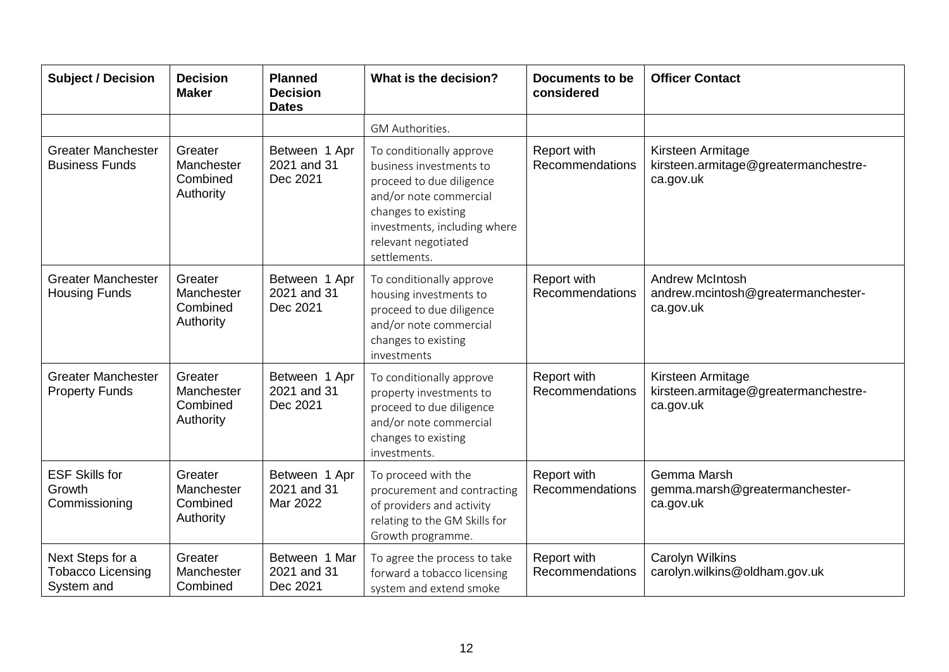| <b>Subject / Decision</b>                                  | <b>Decision</b><br><b>Maker</b>                | <b>Planned</b><br><b>Decision</b><br><b>Dates</b> | What is the decision?                                                                                                                                                                                   | <b>Documents to be</b><br>considered | <b>Officer Contact</b>                                                    |
|------------------------------------------------------------|------------------------------------------------|---------------------------------------------------|---------------------------------------------------------------------------------------------------------------------------------------------------------------------------------------------------------|--------------------------------------|---------------------------------------------------------------------------|
|                                                            |                                                |                                                   | GM Authorities.                                                                                                                                                                                         |                                      |                                                                           |
| <b>Greater Manchester</b><br><b>Business Funds</b>         | Greater<br>Manchester<br>Combined<br>Authority | Between 1 Apr<br>2021 and 31<br>Dec 2021          | To conditionally approve<br>business investments to<br>proceed to due diligence<br>and/or note commercial<br>changes to existing<br>investments, including where<br>relevant negotiated<br>settlements. | Report with<br>Recommendations       | Kirsteen Armitage<br>kirsteen.armitage@greatermanchestre-<br>ca.gov.uk    |
| <b>Greater Manchester</b><br><b>Housing Funds</b>          | Greater<br>Manchester<br>Combined<br>Authority | Between 1 Apr<br>2021 and 31<br>Dec 2021          | To conditionally approve<br>housing investments to<br>proceed to due diligence<br>and/or note commercial<br>changes to existing<br>investments                                                          | Report with<br>Recommendations       | <b>Andrew McIntosh</b><br>andrew.mcintosh@greatermanchester-<br>ca.gov.uk |
| <b>Greater Manchester</b><br><b>Property Funds</b>         | Greater<br>Manchester<br>Combined<br>Authority | Between 1 Apr<br>2021 and 31<br>Dec 2021          | To conditionally approve<br>property investments to<br>proceed to due diligence<br>and/or note commercial<br>changes to existing<br>investments.                                                        | Report with<br>Recommendations       | Kirsteen Armitage<br>kirsteen.armitage@greatermanchestre-<br>ca.gov.uk    |
| <b>ESF Skills for</b><br>Growth<br>Commissioning           | Greater<br>Manchester<br>Combined<br>Authority | Between 1 Apr<br>2021 and 31<br>Mar 2022          | To proceed with the<br>procurement and contracting<br>of providers and activity<br>relating to the GM Skills for<br>Growth programme.                                                                   | Report with<br>Recommendations       | Gemma Marsh<br>gemma.marsh@greatermanchester-<br>ca.gov.uk                |
| Next Steps for a<br><b>Tobacco Licensing</b><br>System and | Greater<br>Manchester<br>Combined              | Between 1 Mar<br>2021 and 31<br>Dec 2021          | To agree the process to take<br>forward a tobacco licensing<br>system and extend smoke                                                                                                                  | Report with<br>Recommendations       | <b>Carolyn Wilkins</b><br>carolyn.wilkins@oldham.gov.uk                   |